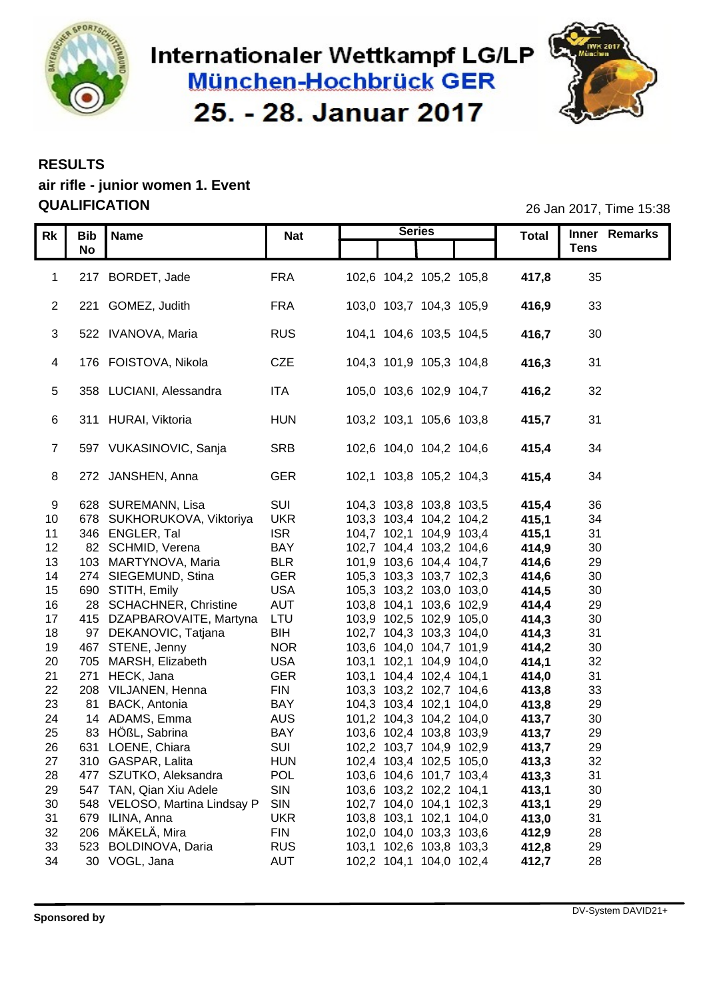

# Internationaler Wettkampf LG/LP München-Hochbrück GER 25. - 28. Januar 2017



#### **RESULTS**

### **air rifle - junior women 1. Event QUALIFICATION** 26 Jan 2017, Time 15:38

| Rk I             |                     | Bib Name                      | <b>Nat</b> | <b>Series</b>           | <b>Total</b> | Inner Remarks      |
|------------------|---------------------|-------------------------------|------------|-------------------------|--------------|--------------------|
|                  | No                  |                               |            |                         |              | <b>Tens</b>        |
|                  |                     |                               |            |                         |              |                    |
|                  |                     | 1 217 BORDET, Jade            | <b>FRA</b> | 102,6 104,2 105,2 105,8 | 417,8        | 35                 |
|                  |                     | 2 221 GOMEZ, Judith           | <b>FRA</b> | 103,0 103,7 104,3 105,9 | 416,9        | 33                 |
|                  |                     |                               |            |                         |              |                    |
|                  |                     | 3 522 IVANOVA, Maria          | <b>RUS</b> | 104,1 104,6 103,5 104,5 | 416,7        | 30                 |
|                  |                     |                               |            |                         |              |                    |
|                  |                     | 4 176 FOISTOVA, Nikola        | CZE        | 104,3 101,9 105,3 104,8 | 416,3        | 31                 |
|                  |                     |                               |            |                         |              |                    |
|                  |                     | 5 358 LUCIANI, Alessandra     | <b>ITA</b> | 105,0 103,6 102,9 104,7 | 416,2        | 32                 |
|                  |                     |                               |            |                         |              |                    |
|                  |                     | 6 311 HURAI, Viktoria         | <b>HUN</b> | 103,2 103,1 105,6 103,8 | 415,7        | 31                 |
|                  |                     |                               |            |                         |              |                    |
|                  |                     | 597 VUKASINOVIC, Sanja        | SRB        | 102,6 104,0 104,2 104,6 | 415,4        | 34                 |
|                  |                     |                               |            |                         |              |                    |
|                  |                     | 8 272 JANSHEN, Anna           | <b>GER</b> | 102,1 103,8 105,2 104,3 | 415,4        | 34                 |
|                  |                     |                               |            |                         |              |                    |
| -9               |                     | 628 SUREMANN, Lisa            | SUI        | 104,3 103,8 103,8 103,5 | 415,4        | 36                 |
|                  |                     | 10 678 SUKHORUKOVA, Viktoriya | <b>UKR</b> | 103,3 103,4 104,2 104,2 | 415,1        | 34                 |
| 11               |                     | 346 ENGLER, Tal               | <b>ISR</b> | 104,7 102,1 104,9 103,4 | 415,1        | 31                 |
| 12 <sup>7</sup>  |                     | 82 SCHMID, Verena             | <b>BAY</b> | 102,7 104,4 103,2 104,6 | 414,9        | 30                 |
| 13 <sup>2</sup>  |                     | 103 MARTYNOVA, Maria          | <b>BLR</b> | 101,9 103,6 104,4 104,7 | 414,6        | 29                 |
| 14               |                     | 274 SIEGEMUND, Stina          | <b>GER</b> | 105,3 103,3 103,7 102,3 | 414,6        | 30                 |
| 15 <sub>15</sub> |                     | 690 STITH, Emily              | <b>USA</b> | 105,3 103,2 103,0 103,0 | 414,5        | $30\,$             |
| 16               |                     | 28 SCHACHNER, Christine       | <b>AUT</b> | 103,8 104,1 103,6 102,9 | 414,4        | 29                 |
| 17               |                     | 415 DZAPBAROVAITE, Martyna    | LTU        | 103,9 102,5 102,9 105,0 | 414,3        | $30\,$             |
| 18               |                     | 97 DEKANOVIC, Tatjana         | <b>BIH</b> | 102,7 104,3 103,3 104,0 | 414,3        | 31                 |
| 19               |                     | 467 STENE, Jenny              | <b>NOR</b> | 103,6 104,0 104,7 101,9 | 414,2        | $30\,$             |
| 20               | 705                 | MARSH, Elizabeth              | <b>USA</b> | 103,1 102,1 104,9 104,0 | 414,1        | 32                 |
| 21               |                     | 271 HECK, Jana                | <b>GER</b> | 103,1 104,4 102,4 104,1 | 414,0        | 31                 |
| 22               | 208                 | VILJANEN, Henna               | <b>FIN</b> | 103,3 103,2 102,7 104,6 | 413,8        | 33                 |
| 23               |                     | 81 BACK, Antonia              | <b>BAY</b> | 104,3 103,4 102,1 104,0 | 413,8        | 29                 |
| 24               |                     | 14 ADAMS, Emma                | <b>AUS</b> | 101,2 104,3 104,2 104,0 | 413,7        | 30                 |
| 25               |                     | 83 HÖßL, Sabrina              | <b>BAY</b> | 103,6 102,4 103,8 103,9 | 413,7        | 29                 |
| 26               |                     | 631 LOENE, Chiara             | SUI        | 102,2 103,7 104,9 102,9 | 413,7        | 29                 |
| 27               |                     | 310 GASPAR, Lalita            | <b>HUN</b> | 102,4 103,4 102,5 105,0 | 413,3        | 32                 |
| 28               |                     | 477 SZUTKO, Aleksandra        | POL        | 103,6 104,6 101,7 103,4 | 413,3        | 31                 |
| 29               |                     | 547 TAN, Qian Xiu Adele       | SIN        | 103,6 103,2 102,2 104,1 | 413,1        | 30                 |
| 30               |                     | 548 VELOSO, Martina Lindsay P | SIN        | 102,7 104,0 104,1 102,3 | 413,1        | 29                 |
| 31               |                     | 679 ILINA, Anna               | <b>UKR</b> | 103,8 103,1 102,1 104,0 | 413,0        | 31                 |
| 32               |                     | 206 MÄKELÄ, Mira              | <b>FIN</b> | 102,0 104,0 103,3 103,6 | 412,9        | 28                 |
| 33               |                     | 523 BOLDINOVA, Daria          | <b>RUS</b> | 103,1 102,6 103,8 103,3 | 412,8        | 29                 |
| 34               |                     | 30 VOGL, Jana                 | AUT        | 102,2 104,1 104,0 102,4 | 412,7        | 28                 |
|                  |                     |                               |            |                         |              |                    |
|                  |                     |                               |            |                         |              |                    |
|                  |                     |                               |            |                         |              |                    |
|                  | <b>Sponsored by</b> |                               |            |                         |              | DV-System DAVID21+ |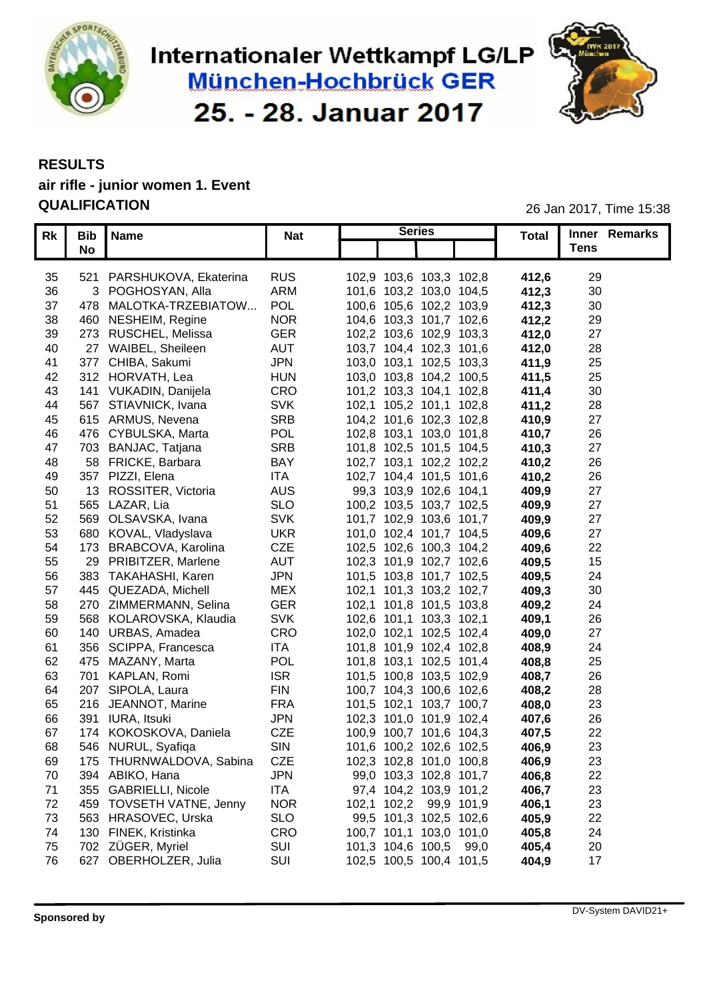

# Internationaler Wettkampf LG/LP **München-Hochbrück GER** 25. - 28. Januar 2017



## **RESULTS air rifle - junior women 1. Event**

**QUALIFICATION** 26 Jan 2017, Time 15:38

|    | Rk   Bib   Name             | <b>Nat</b> | <b>Series</b>           | <b>Total</b> | <b>Inner Remarks</b> |
|----|-----------------------------|------------|-------------------------|--------------|----------------------|
|    | No                          |            |                         |              | <b>Tens</b>          |
|    |                             |            |                         |              |                      |
| 35 | 521 PARSHUKOVA, Ekaterina   | <b>RUS</b> | 102,9 103,6 103,3 102,8 | 412,6        | 29                   |
| 36 | 3 POGHOSYAN, Alla           | ARM        | 101,6 103,2 103,0 104,5 | 412,3        | 30                   |
| 37 | 478 MALOTKA-TRZEBIATOW      | POL        | 100,6 105,6 102,2 103,9 | 412,3        | 30                   |
| 38 | 460 NESHEIM, Regine         | <b>NOR</b> | 104,6 103,3 101,7 102,6 | 412,2        | 29                   |
| 39 | 273 RUSCHEL, Melissa        | <b>GER</b> | 102,2 103,6 102,9 103,3 | 412,0        | 27                   |
| 40 | 27 WAIBEL, Sheileen         | AUT        | 103,7 104,4 102,3 101,6 | 412,0        | 28                   |
|    | 41 377 CHIBA, Sakumi        | <b>JPN</b> | 103,0 103,1 102,5 103,3 | 411,9        | 25                   |
|    | 42 312 HORVATH, Lea         | <b>HUN</b> | 103,0 103,8 104,2 100,5 | 411,5        | 25                   |
|    | 43 141 VUKADIN, Danijela    | CRO        | 101,2 103,3 104,1 102,8 | 411,4        | 30                   |
|    | 44 567 STIAVNICK, Ivana     |            |                         |              |                      |
|    |                             | <b>SVK</b> | 102,1 105,2 101,1 102,8 | 411,2        | 28                   |
| 45 | 615 ARMUS, Nevena           | <b>SRB</b> | 104,2 101,6 102,3 102,8 | 410,9        | 27                   |
| 46 | 476 CYBULSKA, Marta         | POL        | 102,8 103,1 103,0 101,8 | 410,7        | 26                   |
| 47 | 703 BANJAC, Tatjana         | <b>SRB</b> | 101,8 102,5 101,5 104,5 | 410,3        | 27                   |
| 48 | 58 FRICKE, Barbara          | <b>BAY</b> | 102,7 103,1 102,2 102,2 | 410,2        | 26                   |
| 49 | 357 PIZZI, Elena            | ITA        | 102,7 104,4 101,5 101,6 | 410,2        | 26                   |
| 50 | 13 ROSSITER, Victoria       | <b>AUS</b> | 99,3 103,9 102,6 104,1  | 409,9        | 27                   |
| 51 | 565 LAZAR, Lia              | <b>SLO</b> | 100,2 103,5 103,7 102,5 | 409,9        | 27                   |
| 52 | 569 OLSAVSKA, Ivana         | <b>SVK</b> | 101,7 102,9 103,6 101,7 | 409,9        | 27                   |
| 53 | 680 KOVAL, Vladyslava       | <b>UKR</b> | 101,0 102,4 101,7 104,5 | 409,6        | 27                   |
| 54 | 173 BRABCOVA, Karolina      | CZE        | 102,5 102,6 100,3 104,2 | 409,6        | 22                   |
| 55 | 29 PRIBITZER, Marlene       | AUT        | 102,3 101,9 102,7 102,6 | 409,5        | 15                   |
| 56 | 383 TAKAHASHI, Karen        | <b>JPN</b> | 101,5 103,8 101,7 102,5 | 409,5        | 24                   |
| 57 | 445 QUEZADA, Michell        | <b>MEX</b> | 102,1 101,3 103,2 102,7 | 409,3        | 30                   |
| 58 | 270 ZIMMERMANN, Selina      | <b>GER</b> | 102,1 101,8 101,5 103,8 | 409,2        | 24                   |
| 59 | 568 KOLAROVSKA, Klaudia     | <b>SVK</b> | 102,6 101,1 103,3 102,1 |              | 26                   |
|    |                             | CRO        |                         | 409,1        |                      |
| 60 | 140 URBAS, Amadea           |            | 102,0 102,1 102,5 102,4 | 409,0        | 27                   |
| 61 | 356 SCIPPA, Francesca       | ITA        | 101,8 101,9 102,4 102,8 | 408,9        | 24                   |
| 62 | 475 MAZANY, Marta           | <b>POL</b> | 101,8 103,1 102,5 101,4 | 408,8        | 25                   |
|    | 63 701 KAPLAN, Romi         | <b>ISR</b> | 101,5 100,8 103,5 102,9 | 408,7        | 26                   |
| 64 | 207 SIPOLA, Laura           | <b>FIN</b> | 100,7 104,3 100,6 102,6 | 408,2        | 28                   |
|    | 65 216 JEANNOT, Marine      | <b>FRA</b> | 101,5 102,1 103,7 100,7 | 408,0        | 23                   |
|    | 66 391 IURA, Itsuki         | <b>JPN</b> | 102,3 101,0 101,9 102,4 | 407,6        | 26                   |
| 67 | 174 KOKOSKOVA, Daniela      | CZE        | 100,9 100,7 101,6 104,3 | 407,5        | 22                   |
| 68 | 546 NURUL, Syafiqa          | SIN        | 101,6 100,2 102,6 102,5 | 406,9        | 23                   |
| 69 | 175 THURNWALDOVA, Sabina    | CZE        | 102,3 102,8 101,0 100,8 | 406,9        | 23                   |
|    | 70 394 ABIKO, Hana          | <b>JPN</b> | 99,0 103,3 102,8 101,7  | 406,8        | 22                   |
|    | 71 355 GABRIELLI, Nicole    | ITA        | 97,4 104,2 103,9 101,2  | 406,7        | 23                   |
|    | 72 459 TOVSETH VATNE, Jenny | <b>NOR</b> | 102,1 102,2 99,9 101,9  | 406,1        | 23                   |
|    | 73 563 HRASOVEC, Urska      | SLO        | 99,5 101,3 102,5 102,6  | 405,9        | 22                   |
|    | 74 130 FINEK, Kristinka     | CRO        | 100,7 101,1 103,0 101,0 | 405,8        | 24                   |
|    | 75 702 ZÜGER, Myriel        | SUI        | 101,3 104,6 100,5 99,0  | 405,4        | 20                   |
|    | 76 627 OBERHOLZER, Julia    | SUI        | 102,5 100,5 100,4 101,5 | 404,9        | 17                   |
|    |                             |            |                         |              |                      |
|    |                             |            |                         |              |                      |
|    |                             |            |                         |              |                      |
|    |                             |            |                         |              | DV-System DAVID21+   |
|    | <b>Sponsored by</b>         |            |                         |              |                      |